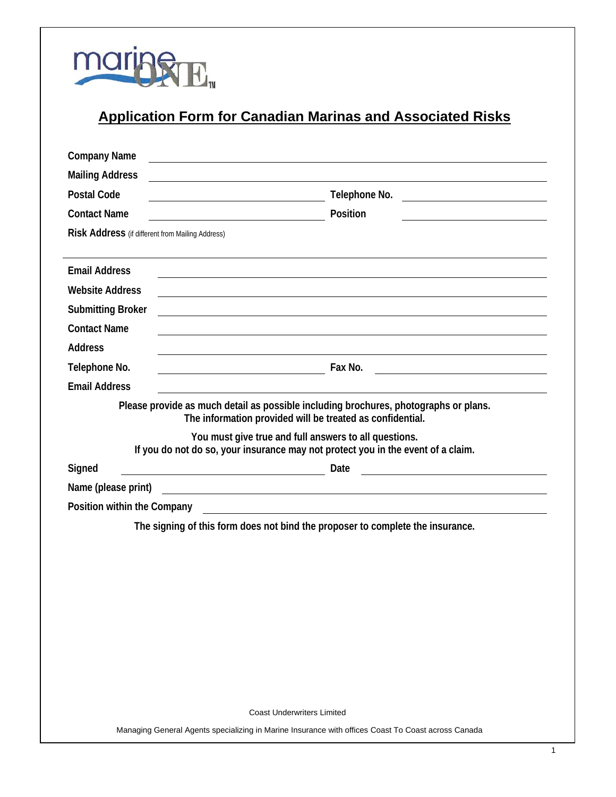

# **Application Form for Canadian Marinas and Associated Risks**

| <b>Company Name</b>                                                                                                                               |               |
|---------------------------------------------------------------------------------------------------------------------------------------------------|---------------|
| <b>Mailing Address</b>                                                                                                                            |               |
| <b>Postal Code</b>                                                                                                                                | Telephone No. |
| <b>Contact Name</b>                                                                                                                               | Position      |
| Risk Address (if different from Mailing Address)                                                                                                  |               |
|                                                                                                                                                   |               |
| <b>Email Address</b>                                                                                                                              |               |
| <b>Website Address</b>                                                                                                                            |               |
| <b>Submitting Broker</b>                                                                                                                          |               |
| <b>Contact Name</b>                                                                                                                               |               |
| <b>Address</b>                                                                                                                                    |               |
| Telephone No.                                                                                                                                     | Fax No.       |
| <b>Email Address</b>                                                                                                                              |               |
| Please provide as much detail as possible including brochures, photographs or plans.<br>The information provided will be treated as confidential. |               |
| You must give true and full answers to all questions.<br>If you do not do so, your insurance may not protect you in the event of a claim.         |               |
| Signed<br><u> 1989 - Johann Stein, fransk politik (d. 1989)</u>                                                                                   | Date          |
| Name (please print)<br><u> 1989 - Johann Harry Harry Harry Harry Harry Harry Harry Harry Harry Harry Harry Harry Harry Harry Harry Harry</u>      |               |
| Position within the Company                                                                                                                       |               |
| The signing of this form does not bind the proposer to complete the insurance.                                                                    |               |
|                                                                                                                                                   |               |
|                                                                                                                                                   |               |
|                                                                                                                                                   |               |
|                                                                                                                                                   |               |
|                                                                                                                                                   |               |
|                                                                                                                                                   |               |
|                                                                                                                                                   |               |
|                                                                                                                                                   |               |
|                                                                                                                                                   |               |
| <b>Coast Underwriters Limited</b>                                                                                                                 |               |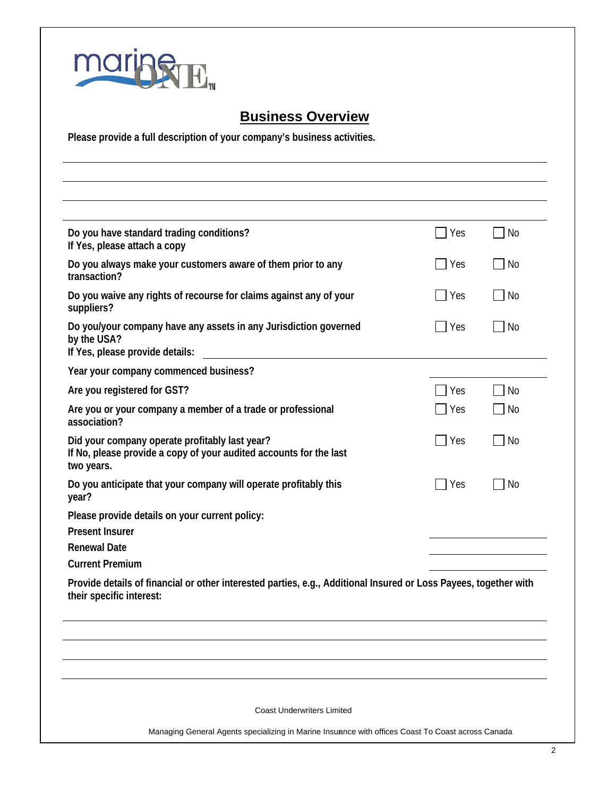

# **Business Overview**

**Please provide a full description of your company's business activities.** 

| Do you have standard trading conditions?<br>If Yes, please attach a copy                                                                     | Yes | $\Box$ No |
|----------------------------------------------------------------------------------------------------------------------------------------------|-----|-----------|
| Do you always make your customers aware of them prior to any<br>transaction?                                                                 | Yes | No        |
| Do you waive any rights of recourse for claims against any of your<br>suppliers?                                                             | Yes | No        |
| Do you/your company have any assets in any Jurisdiction governed<br>by the USA?<br>If Yes, please provide details:                           | Yes | $\Box$ No |
| Year your company commenced business?                                                                                                        |     |           |
| Are you registered for GST?                                                                                                                  | Yes | No        |
| Are you or your company a member of a trade or professional<br>association?                                                                  | Yes | No        |
| Did your company operate profitably last year?<br>If No, please provide a copy of your audited accounts for the last<br>two years.           | Yes | No        |
| Do you anticipate that your company will operate profitably this<br>year?                                                                    | Yes | <b>No</b> |
| Please provide details on your current policy:<br><b>Present Insurer</b>                                                                     |     |           |
| <b>Renewal Date</b><br><b>Current Premium</b>                                                                                                |     |           |
| Provide details of financial or other interested parties, e.g., Additional Insured or Loss Payees, together with<br>their specific interest: |     |           |
|                                                                                                                                              |     |           |
|                                                                                                                                              |     |           |
| <b>Coast Underwriters Limited</b>                                                                                                            |     |           |
| Managing General Agents specializing in Marine Insuance with offices Coast To Coast across Canada                                            |     |           |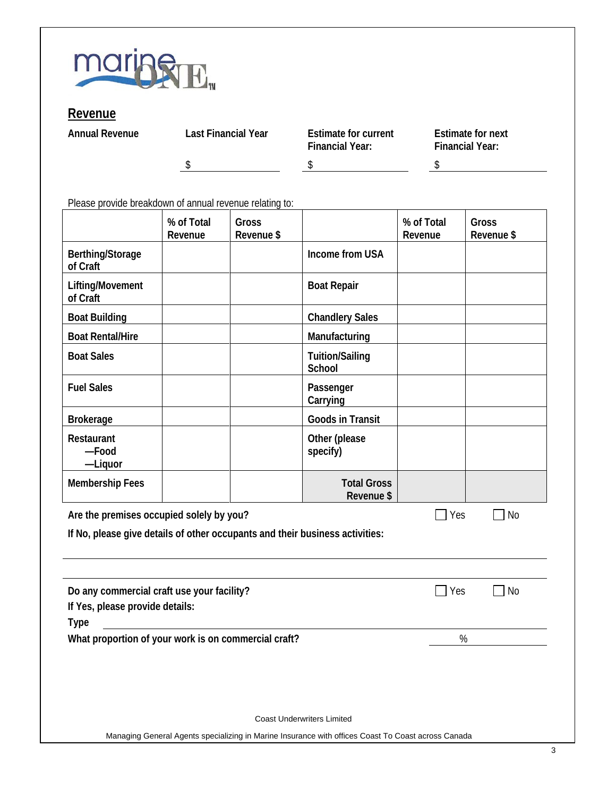

#### **Revenue**

**Annual Revenue** 

| Last Financial Year | <b>Estimate for current</b><br><b>Financial Year:</b> | <b>Estimate for next</b><br><b>Financial Year:</b> |
|---------------------|-------------------------------------------------------|----------------------------------------------------|
|                     |                                                       |                                                    |

Please provide breakdown of annual revenue relating to:

|                                                                                              | % of Total<br>Revenue | Gross<br>Revenue \$ |                                                                                                    | % of Total<br>Revenue | Gross<br>Revenue \$ |
|----------------------------------------------------------------------------------------------|-----------------------|---------------------|----------------------------------------------------------------------------------------------------|-----------------------|---------------------|
| Berthing/Storage<br>of Craft                                                                 |                       |                     | Income from USA                                                                                    |                       |                     |
| Lifting/Movement<br>of Craft                                                                 |                       |                     | <b>Boat Repair</b>                                                                                 |                       |                     |
| <b>Boat Building</b>                                                                         |                       |                     | <b>Chandlery Sales</b>                                                                             |                       |                     |
| <b>Boat Rental/Hire</b>                                                                      |                       |                     | Manufacturing                                                                                      |                       |                     |
| <b>Boat Sales</b>                                                                            |                       |                     | <b>Tuition/Sailing</b><br>School                                                                   |                       |                     |
| <b>Fuel Sales</b>                                                                            |                       |                     | Passenger<br>Carrying                                                                              |                       |                     |
| <b>Brokerage</b>                                                                             |                       |                     | <b>Goods in Transit</b>                                                                            |                       |                     |
| Restaurant<br>-Food<br>-Liquor                                                               |                       |                     | Other (please<br>specify)                                                                          |                       |                     |
| <b>Membership Fees</b>                                                                       |                       |                     | <b>Total Gross</b><br>Revenue \$                                                                   |                       |                     |
| Are the premises occupied solely by you?                                                     |                       |                     |                                                                                                    | Yes                   | <b>No</b>           |
| If No, please give details of other occupants and their business activities:                 |                       |                     |                                                                                                    |                       |                     |
| Do any commercial craft use your facility?<br>If Yes, please provide details:<br><b>Type</b> |                       |                     |                                                                                                    | Yes                   | <b>No</b>           |
| What proportion of your work is on commercial craft?                                         |                       |                     |                                                                                                    |                       | %                   |
|                                                                                              |                       |                     |                                                                                                    |                       |                     |
|                                                                                              |                       |                     | <b>Coast Underwriters Limited</b>                                                                  |                       |                     |
|                                                                                              |                       |                     | Managing General Agents specializing in Marine Insurance with offices Coast To Coast across Canada |                       |                     |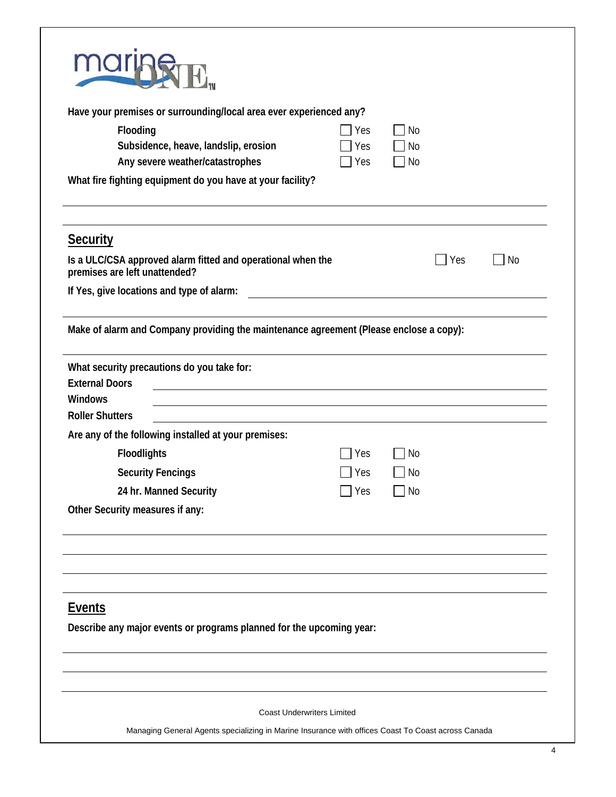| Have your premises or surrounding/local area ever experienced any?<br>Flooding                                           | Yes | No        |     |           |
|--------------------------------------------------------------------------------------------------------------------------|-----|-----------|-----|-----------|
| Subsidence, heave, landslip, erosion                                                                                     | Yes | <b>No</b> |     |           |
| Any severe weather/catastrophes                                                                                          | Yes | <b>No</b> |     |           |
| What fire fighting equipment do you have at your facility?                                                               |     |           |     |           |
| <b>Security</b>                                                                                                          |     |           |     |           |
| Is a ULC/CSA approved alarm fitted and operational when the<br>premises are left unattended?                             |     |           | Yes | <b>No</b> |
| If Yes, give locations and type of alarm:                                                                                |     |           |     |           |
| Make of alarm and Company providing the maintenance agreement (Please enclose a copy):                                   |     |           |     |           |
| What security precautions do you take for:                                                                               |     |           |     |           |
| <b>External Doors</b><br>Windows                                                                                         |     |           |     |           |
| <b>Roller Shutters</b>                                                                                                   |     |           |     |           |
| Are any of the following installed at your premises:                                                                     |     |           |     |           |
| <b>Floodlights</b>                                                                                                       | Yes | No        |     |           |
| <b>Security Fencings</b>                                                                                                 | Yes | No        |     |           |
|                                                                                                                          | Yes | No        |     |           |
| 24 hr. Manned Security                                                                                                   |     |           |     |           |
|                                                                                                                          |     |           |     |           |
|                                                                                                                          |     |           |     |           |
|                                                                                                                          |     |           |     |           |
|                                                                                                                          |     |           |     |           |
|                                                                                                                          |     |           |     |           |
|                                                                                                                          |     |           |     |           |
| Other Security measures if any:<br><b>Events</b><br>Describe any major events or programs planned for the upcoming year: |     |           |     |           |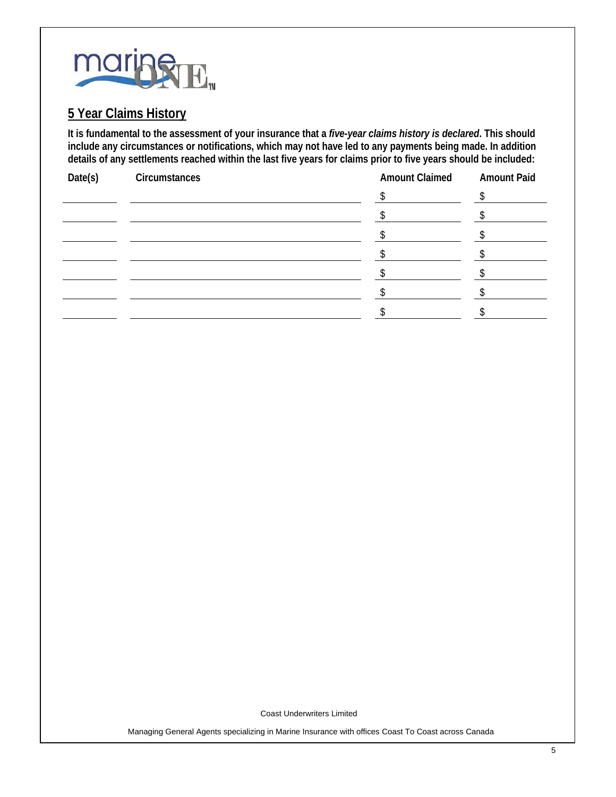

#### **5 Year Claims History**

**It is fundamental to the assessment of your insurance that a** *five-year claims history is declared***. This should include any circumstances or notifications, which may not have led to any payments being made. In addition details of any settlements reached within the last five years for claims prior to five years should be included:**

| Date(s) | Circumstances | <b>Amount Claimed</b> | <b>Amount Paid</b> |
|---------|---------------|-----------------------|--------------------|
|         |               |                       |                    |
|         |               |                       |                    |
|         |               |                       |                    |
|         |               |                       |                    |
|         |               |                       |                    |
|         |               |                       |                    |
|         |               |                       |                    |

Coast Underwriters Limited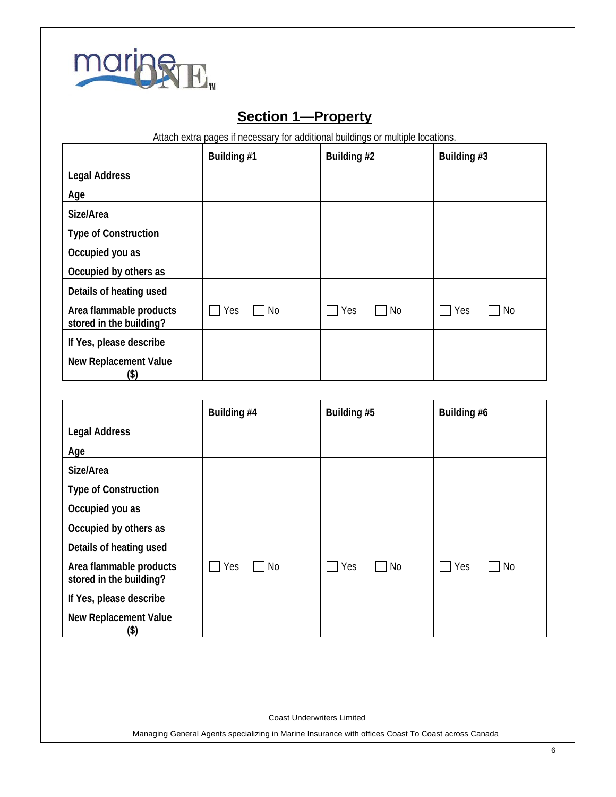

# **Section 1—Property**

Attach extra pages if necessary for additional buildings or multiple locations.

|                                                    | Building #1 | Building #2      | Building #3 |
|----------------------------------------------------|-------------|------------------|-------------|
| <b>Legal Address</b>                               |             |                  |             |
| Age                                                |             |                  |             |
| Size/Area                                          |             |                  |             |
| <b>Type of Construction</b>                        |             |                  |             |
| Occupied you as                                    |             |                  |             |
| Occupied by others as                              |             |                  |             |
| Details of heating used                            |             |                  |             |
| Area flammable products<br>stored in the building? | No<br>Yes   | Yes<br><b>No</b> | Yes<br>No   |
| If Yes, please describe                            |             |                  |             |
| <b>New Replacement Value</b><br>(\$)               |             |                  |             |

|                                                    | Building #4      | Building #5      | Building #6                 |
|----------------------------------------------------|------------------|------------------|-----------------------------|
| <b>Legal Address</b>                               |                  |                  |                             |
| Age                                                |                  |                  |                             |
| Size/Area                                          |                  |                  |                             |
| <b>Type of Construction</b>                        |                  |                  |                             |
| Occupied you as                                    |                  |                  |                             |
| Occupied by others as                              |                  |                  |                             |
| Details of heating used                            |                  |                  |                             |
| Area flammable products<br>stored in the building? | $\Box$ No<br>Yes | Yes<br><b>No</b> | Yes<br>No<br>$\blacksquare$ |
| If Yes, please describe                            |                  |                  |                             |
| <b>New Replacement Value</b><br>(\$)               |                  |                  |                             |

Coast Underwriters Limited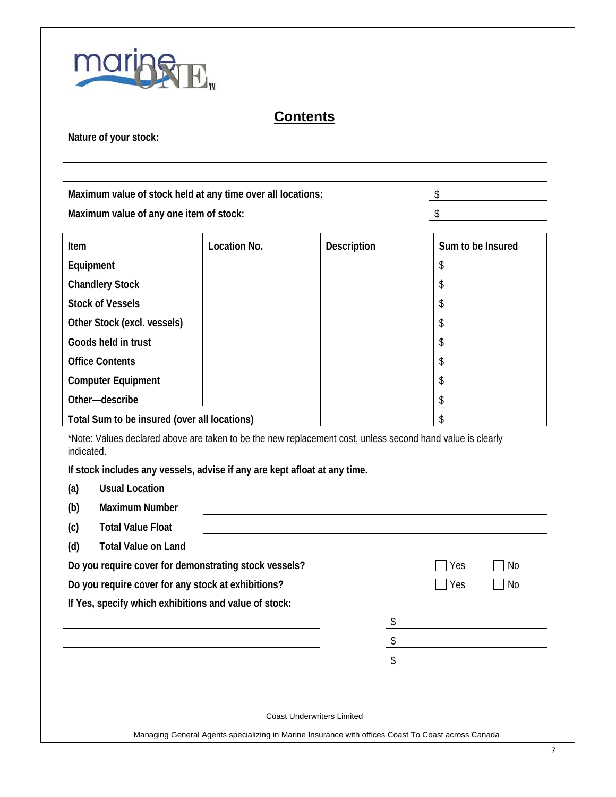

### **Contents**

**Nature of your stock:**

| Maximum value of any one item of stock:                                                         |                                                                                                            |                    | \$                |
|-------------------------------------------------------------------------------------------------|------------------------------------------------------------------------------------------------------------|--------------------|-------------------|
| Item                                                                                            | Location No.                                                                                               | <b>Description</b> | Sum to be Insured |
| Equipment                                                                                       |                                                                                                            |                    | \$                |
| <b>Chandlery Stock</b>                                                                          |                                                                                                            |                    | \$                |
| <b>Stock of Vessels</b>                                                                         |                                                                                                            |                    | \$                |
| Other Stock (excl. vessels)                                                                     |                                                                                                            |                    | \$                |
| Goods held in trust                                                                             |                                                                                                            |                    | \$                |
| <b>Office Contents</b>                                                                          |                                                                                                            |                    | \$                |
|                                                                                                 |                                                                                                            |                    | \$                |
| <b>Computer Equipment</b>                                                                       |                                                                                                            |                    |                   |
| Other-describe                                                                                  |                                                                                                            |                    | \$                |
| Total Sum to be insured (over all locations)<br>indicated.                                      | *Note: Values declared above are taken to be the new replacement cost, unless second hand value is clearly |                    | \$                |
| <b>Usual Location</b><br>(a)<br><b>Maximum Number</b><br>(b)<br><b>Total Value Float</b><br>(c) | If stock includes any vessels, advise if any are kept afloat at any time.                                  |                    |                   |
| (d)<br><b>Total Value on Land</b>                                                               | Do you require cover for demonstrating stock vessels?                                                      |                    | <b>No</b><br>Yes  |
|                                                                                                 | Do you require cover for any stock at exhibitions?                                                         |                    | Yes<br><b>No</b>  |
|                                                                                                 | If Yes, specify which exhibitions and value of stock:                                                      |                    |                   |
|                                                                                                 |                                                                                                            | \$                 |                   |
|                                                                                                 |                                                                                                            |                    |                   |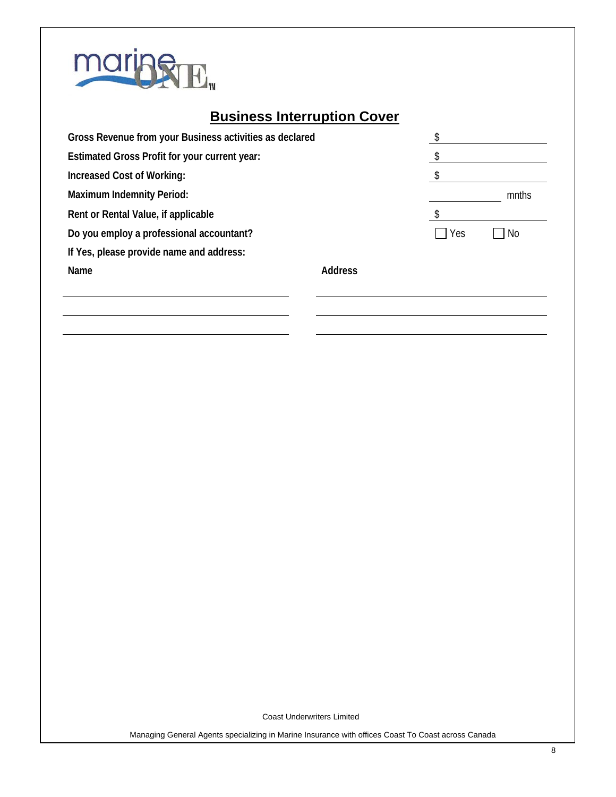

# **Business Interruption Cover**

| Gross Revenue from your Business activities as declared |                |     |       |
|---------------------------------------------------------|----------------|-----|-------|
| Estimated Gross Profit for your current year:           |                |     |       |
| Increased Cost of Working:                              |                |     |       |
| <b>Maximum Indemnity Period:</b>                        |                |     | mnths |
| Rent or Rental Value, if applicable                     |                |     |       |
| Do you employ a professional accountant?                |                | Yes | No.   |
| If Yes, please provide name and address:                |                |     |       |
| Name                                                    | <b>Address</b> |     |       |
|                                                         |                |     |       |
|                                                         |                |     |       |

Coast Underwriters Limited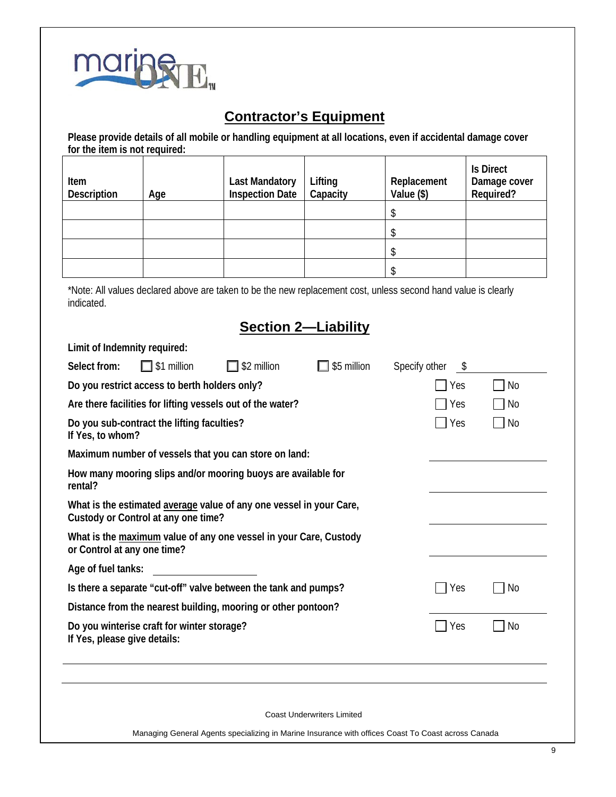

# **Contractor's Equipment**

**Please provide details of all mobile or handling equipment at all locations, even if accidental damage cover for the item is not required:**

| Item<br><b>Description</b> | Age | <b>Last Mandatory</b><br><b>Inspection Date</b> | Lifting<br>Capacity | Replacement<br>Value (\$) | <b>Is Direct</b><br>Damage cover<br>Required? |
|----------------------------|-----|-------------------------------------------------|---------------------|---------------------------|-----------------------------------------------|
|                            |     |                                                 |                     |                           |                                               |
|                            |     |                                                 |                     |                           |                                               |
|                            |     |                                                 |                     |                           |                                               |
|                            |     |                                                 |                     |                           |                                               |

\*Note: All values declared above are taken to be the new replacement cost, unless second hand value is clearly indicated.

### **Section 2—Liability**

| Limit of Indemnity required: |                                                            |                                                                                                    |                                   |                      |           |  |
|------------------------------|------------------------------------------------------------|----------------------------------------------------------------------------------------------------|-----------------------------------|----------------------|-----------|--|
| Select from:                 | $\Box$ \$1 million                                         | \$2 million                                                                                        | \$5 million                       | Specify other<br>S S |           |  |
|                              | Do you restrict access to berth holders only?              |                                                                                                    |                                   | Yes                  | No        |  |
|                              | Are there facilities for lifting vessels out of the water? | Yes                                                                                                | No                                |                      |           |  |
| If Yes, to whom?             | Do you sub-contract the lifting faculties?                 |                                                                                                    |                                   | Yes                  | No        |  |
|                              |                                                            | Maximum number of vessels that you can store on land:                                              |                                   |                      |           |  |
| rental?                      |                                                            | How many mooring slips and/or mooring buoys are available for                                      |                                   |                      |           |  |
|                              | Custody or Control at any one time?                        | What is the estimated average value of any one vessel in your Care,                                |                                   |                      |           |  |
| or Control at any one time?  |                                                            | What is the maximum value of any one vessel in your Care, Custody                                  |                                   |                      |           |  |
| Age of fuel tanks:           |                                                            |                                                                                                    |                                   |                      |           |  |
|                              |                                                            | Is there a separate "cut-off" valve between the tank and pumps?                                    |                                   | Yes                  | <b>No</b> |  |
|                              |                                                            | Distance from the nearest building, mooring or other pontoon?                                      |                                   |                      |           |  |
| If Yes, please give details: | Do you winterise craft for winter storage?                 |                                                                                                    |                                   | Yes                  | No        |  |
|                              |                                                            |                                                                                                    |                                   |                      |           |  |
|                              |                                                            |                                                                                                    | <b>Coast Underwriters Limited</b> |                      |           |  |
|                              |                                                            | Managing General Agents specializing in Marine Insurance with offices Coast To Coast across Canada |                                   |                      |           |  |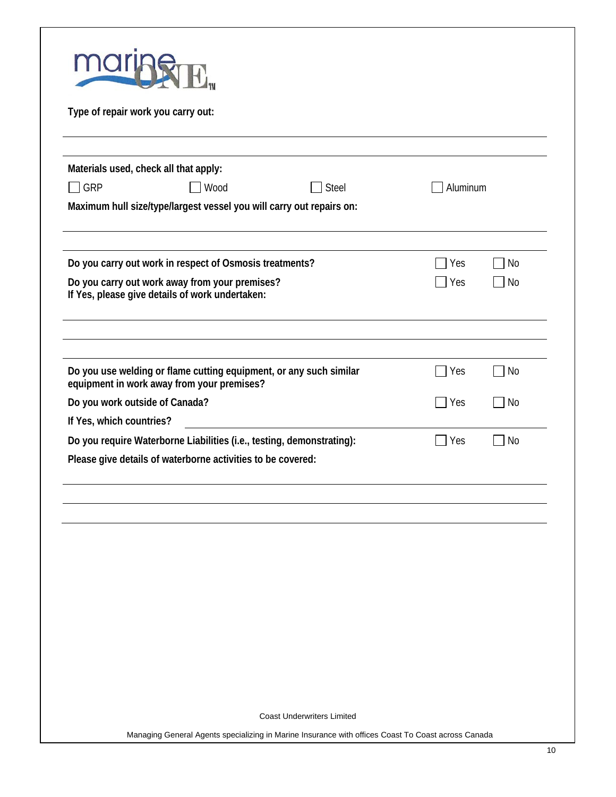| Type of repair work you carry out:                                                                               |            |           |
|------------------------------------------------------------------------------------------------------------------|------------|-----------|
| Materials used, check all that apply:                                                                            |            |           |
| GRP<br><b>Steel</b><br>Wood                                                                                      | Aluminum   |           |
| Maximum hull size/type/largest vessel you will carry out repairs on:                                             |            |           |
| Do you carry out work in respect of Osmosis treatments?                                                          | Yes        | No        |
| Do you carry out work away from your premises?<br>If Yes, please give details of work undertaken:                | Yes        | No        |
|                                                                                                                  |            |           |
| Do you use welding or flame cutting equipment, or any such similar<br>equipment in work away from your premises? | Yes        | <b>No</b> |
| Do you work outside of Canada?                                                                                   | Yes        | <b>No</b> |
| If Yes, which countries?                                                                                         |            |           |
| Do you require Waterborne Liabilities (i.e., testing, demonstrating):                                            | <b>Yes</b> | <b>No</b> |
| Please give details of waterborne activities to be covered:                                                      |            |           |
|                                                                                                                  |            |           |
|                                                                                                                  |            |           |
|                                                                                                                  |            |           |
|                                                                                                                  |            |           |
|                                                                                                                  |            |           |
|                                                                                                                  |            |           |
|                                                                                                                  |            |           |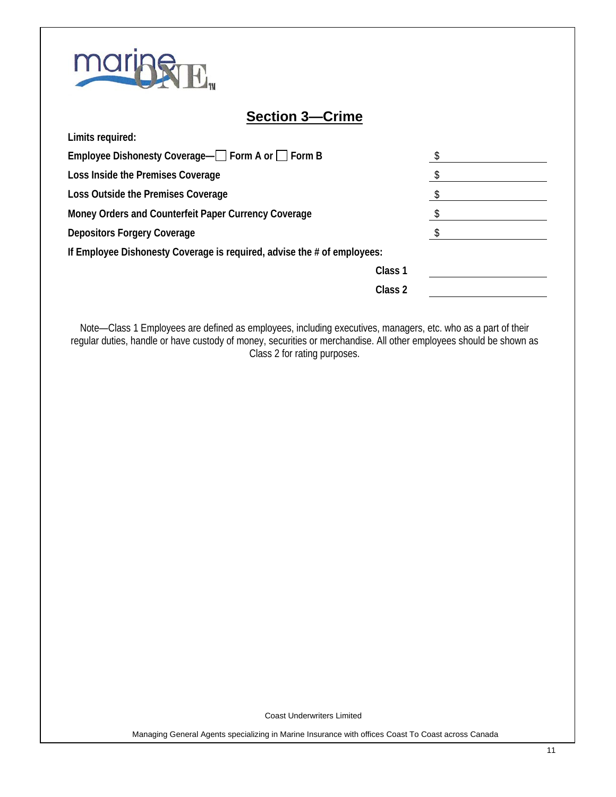

**Limits required:**

### **Section 3—Crime**

| Employee Dishonesty Coverage— Form A or Form B                          |                    |  |
|-------------------------------------------------------------------------|--------------------|--|
| Loss Inside the Premises Coverage                                       |                    |  |
| Loss Outside the Premises Coverage                                      |                    |  |
| Money Orders and Counterfeit Paper Currency Coverage                    |                    |  |
| <b>Depositors Forgery Coverage</b>                                      |                    |  |
| If Employee Dishonesty Coverage is required, advise the # of employees: |                    |  |
|                                                                         | Class <sub>1</sub> |  |
|                                                                         | Class 2            |  |
|                                                                         |                    |  |

Note—Class 1 Employees are defined as employees, including executives, managers, etc. who as a part of their regular duties, handle or have custody of money, securities or merchandise. All other employees should be shown as Class 2 for rating purposes.

Coast Underwriters Limited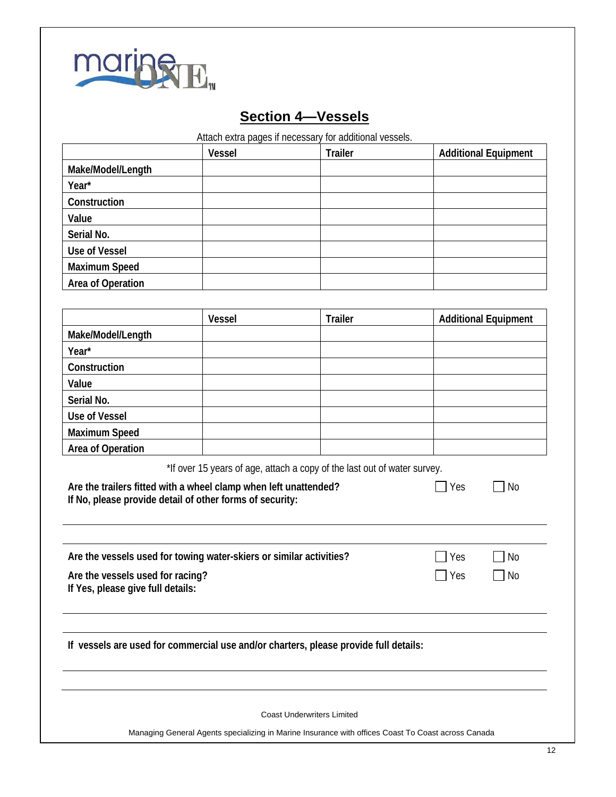

# **Section 4—Vessels**

Attach extra pages if necessary for additional vessels.

|                      | <b>Vessel</b> | <b>Trailer</b> | <b>Additional Equipment</b> |
|----------------------|---------------|----------------|-----------------------------|
| Make/Model/Length    |               |                |                             |
| Year*                |               |                |                             |
| Construction         |               |                |                             |
| Value                |               |                |                             |
| Serial No.           |               |                |                             |
| <b>Use of Vessel</b> |               |                |                             |
| <b>Maximum Speed</b> |               |                |                             |
| Area of Operation    |               |                |                             |

|                      | <b>Vessel</b> | <b>Trailer</b> | <b>Additional Equipment</b> |
|----------------------|---------------|----------------|-----------------------------|
| Make/Model/Length    |               |                |                             |
| Year*                |               |                |                             |
| Construction         |               |                |                             |
| Value                |               |                |                             |
| Serial No.           |               |                |                             |
| <b>Use of Vessel</b> |               |                |                             |
| <b>Maximum Speed</b> |               |                |                             |
| Area of Operation    |               |                |                             |

\*If over 15 years of age, attach a copy of the last out of water survey.

| Are the trailers fitted with a wheel clamp when left unattended? | $\Box$ Yes | $\Box$ No |
|------------------------------------------------------------------|------------|-----------|
| If No, please provide detail of other forms of security:         |            |           |

| Are the vessels used for towing water-skiers or similar activities? | $\Box$ Yes | No        |
|---------------------------------------------------------------------|------------|-----------|
| Are the vessels used for racing?                                    | <b>Nes</b> | $\Box$ No |
| If Yes, please give full details:                                   |            |           |

**If vessels are used for commercial use and/or charters, please provide full details:**

Coast Underwriters Limited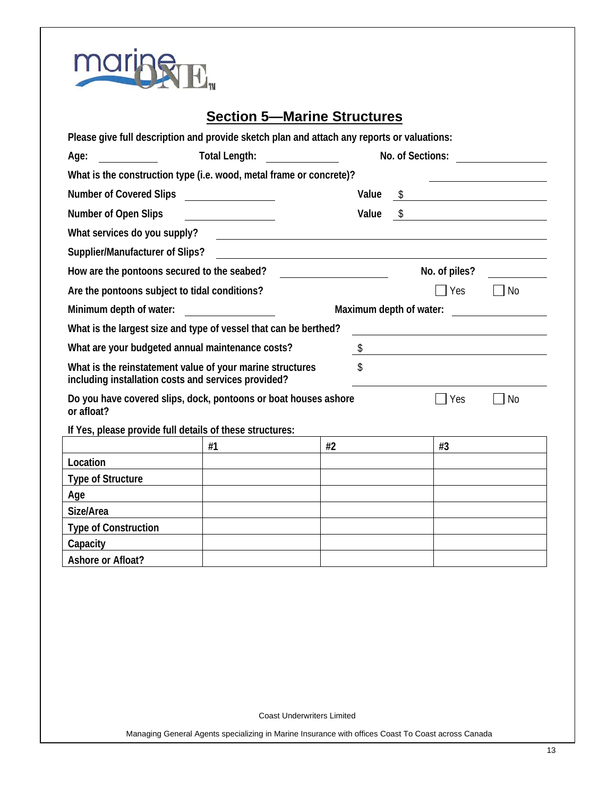| maring E. |
|-----------|
|           |
|           |

### **Section 5—Marine Structures**

| Please give full description and provide sketch plan and attach any reports or valuations:                       |                                                                                                                                                                                                                                      |                                                                                    |                         |    |                                                                                                                      |           |
|------------------------------------------------------------------------------------------------------------------|--------------------------------------------------------------------------------------------------------------------------------------------------------------------------------------------------------------------------------------|------------------------------------------------------------------------------------|-------------------------|----|----------------------------------------------------------------------------------------------------------------------|-----------|
| Age:                                                                                                             | <b>Total Length:</b>                                                                                                                                                                                                                 | $\overline{\phantom{a}}$ and $\overline{\phantom{a}}$ and $\overline{\phantom{a}}$ |                         |    | No. of Sections:                                                                                                     |           |
| What is the construction type (i.e. wood, metal frame or concrete)?                                              |                                                                                                                                                                                                                                      |                                                                                    |                         |    |                                                                                                                      |           |
| <b>Number of Covered Slips</b>                                                                                   | <u> 1989 - Jan Sterling Sterling Sterling Sterling Sterling Sterling Sterling Sterling Sterling Sterling Sterling</u>                                                                                                                |                                                                                    | Value                   | \$ | <u> 1989 - Andrea Station Barbara, politik eta provincia eta provincia eta provincia eta provincia eta provincia</u> |           |
| Number of Open Slips                                                                                             |                                                                                                                                                                                                                                      |                                                                                    | Value                   | \$ |                                                                                                                      |           |
| What services do you supply?                                                                                     | <u> 1989 - Johann Stein, fransk politik (</u>                                                                                                                                                                                        |                                                                                    |                         |    |                                                                                                                      |           |
| Supplier/Manufacturer of Slips?                                                                                  |                                                                                                                                                                                                                                      |                                                                                    |                         |    |                                                                                                                      |           |
| How are the pontoons secured to the seabed?                                                                      |                                                                                                                                                                                                                                      | <u> 1980 - Jan Barat, prima politik (</u>                                          |                         |    | No. of piles?                                                                                                        |           |
| Are the pontoons subject to tidal conditions?                                                                    |                                                                                                                                                                                                                                      |                                                                                    |                         |    | Yes                                                                                                                  | <b>No</b> |
| Minimum depth of water:                                                                                          | <u>and the state of the state of the state of the state of the state of the state of the state of the state of the state of the state of the state of the state of the state of the state of the state of the state of the state</u> |                                                                                    | Maximum depth of water: |    |                                                                                                                      |           |
| What is the largest size and type of vessel that can be berthed?                                                 |                                                                                                                                                                                                                                      |                                                                                    |                         |    |                                                                                                                      |           |
| What are your budgeted annual maintenance costs?                                                                 |                                                                                                                                                                                                                                      |                                                                                    |                         |    | $\sim$                                                                                                               |           |
| What is the reinstatement value of your marine structures<br>including installation costs and services provided? |                                                                                                                                                                                                                                      |                                                                                    | \$                      |    |                                                                                                                      |           |
| Do you have covered slips, dock, pontoons or boat houses ashore<br>or afloat?                                    |                                                                                                                                                                                                                                      |                                                                                    |                         |    | Yes                                                                                                                  | <b>No</b> |
| If Yes, please provide full details of these structures:                                                         |                                                                                                                                                                                                                                      |                                                                                    |                         |    |                                                                                                                      |           |
|                                                                                                                  | #1                                                                                                                                                                                                                                   | #2                                                                                 |                         |    | #3                                                                                                                   |           |
| Location                                                                                                         |                                                                                                                                                                                                                                      |                                                                                    |                         |    |                                                                                                                      |           |
| <b>Type of Structure</b>                                                                                         |                                                                                                                                                                                                                                      |                                                                                    |                         |    |                                                                                                                      |           |
| Age                                                                                                              |                                                                                                                                                                                                                                      |                                                                                    |                         |    |                                                                                                                      |           |
| Size/Area                                                                                                        |                                                                                                                                                                                                                                      |                                                                                    |                         |    |                                                                                                                      |           |
| <b>Type of Construction</b>                                                                                      |                                                                                                                                                                                                                                      |                                                                                    |                         |    |                                                                                                                      |           |
| Capacity                                                                                                         |                                                                                                                                                                                                                                      |                                                                                    |                         |    |                                                                                                                      |           |
| Ashore or Afloat?                                                                                                |                                                                                                                                                                                                                                      |                                                                                    |                         |    |                                                                                                                      |           |

Coast Underwriters Limited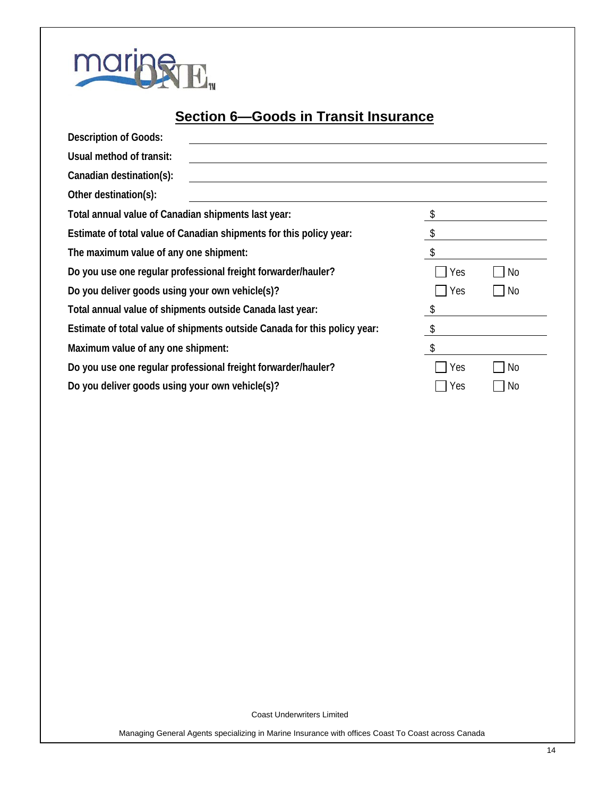

# **Section 6—Goods in Transit Insurance**

| <b>Description of Goods:</b>                                              |     |    |
|---------------------------------------------------------------------------|-----|----|
| Usual method of transit:                                                  |     |    |
| Canadian destination(s):                                                  |     |    |
| Other destination(s):                                                     |     |    |
| Total annual value of Canadian shipments last year:                       |     |    |
| Estimate of total value of Canadian shipments for this policy year:       |     |    |
| The maximum value of any one shipment:                                    |     |    |
| Do you use one regular professional freight forwarder/hauler?             | Yes | No |
| Do you deliver goods using your own vehicle(s)?                           | Yes | No |
| Total annual value of shipments outside Canada last year:                 |     |    |
| Estimate of total value of shipments outside Canada for this policy year: |     |    |
| Maximum value of any one shipment:                                        |     |    |
| Do you use one regular professional freight forwarder/hauler?             | Yes | No |
| Do you deliver goods using your own vehicle(s)?                           | Yes | No |

Coast Underwriters Limited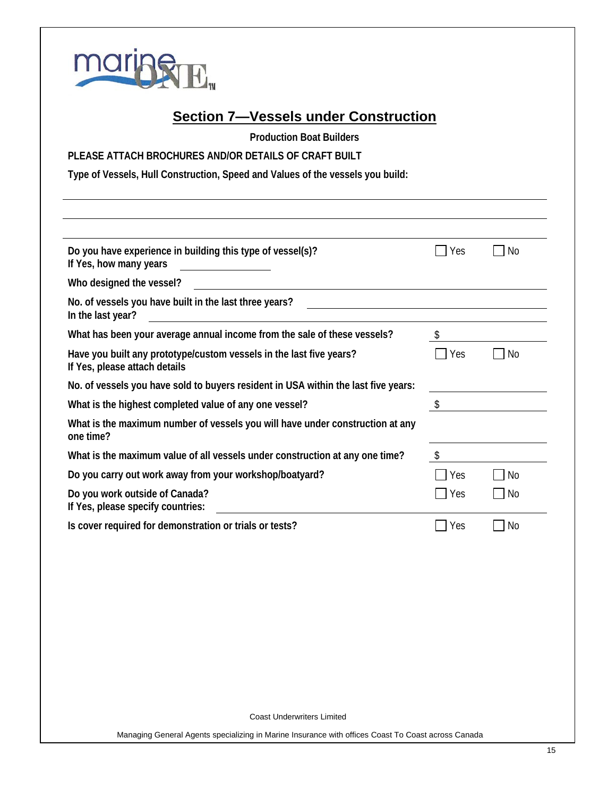

### **Section 7—Vessels under Construction**

**Production Boat Builders**

#### **PLEASE ATTACH BROCHURES AND/OR DETAILS OF CRAFT BUILT**

**Type of Vessels, Hull Construction, Speed and Values of the vessels you build:**

| Do you have experience in building this type of vessel(s)?<br>If Yes, how many years                                                    | Yes | <b>No</b>      |
|-----------------------------------------------------------------------------------------------------------------------------------------|-----|----------------|
| Who designed the vessel?<br><u> 1989 - John Stein, Amerikaansk politiker (</u>                                                          |     |                |
| No. of vessels you have built in the last three years?<br>In the last year?<br><u> 1989 - Jan Stein Stein, fransk politik (f. 1989)</u> |     |                |
| What has been your average annual income from the sale of these vessels?                                                                |     |                |
| Have you built any prototype/custom vessels in the last five years?<br>If Yes, please attach details                                    | Yes | No             |
| No. of vessels you have sold to buyers resident in USA within the last five years:                                                      |     |                |
| What is the highest completed value of any one vessel?                                                                                  | \$  |                |
| What is the maximum number of vessels you will have under construction at any<br>one time?                                              |     |                |
| What is the maximum value of all vessels under construction at any one time?                                                            | S.  |                |
| Do you carry out work away from your workshop/boatyard?                                                                                 | Yes | No             |
| Do you work outside of Canada?<br>If Yes, please specify countries:                                                                     | Yes | No             |
| Is cover required for demonstration or trials or tests?                                                                                 | Yes | N <sub>0</sub> |

Coast Underwriters Limited